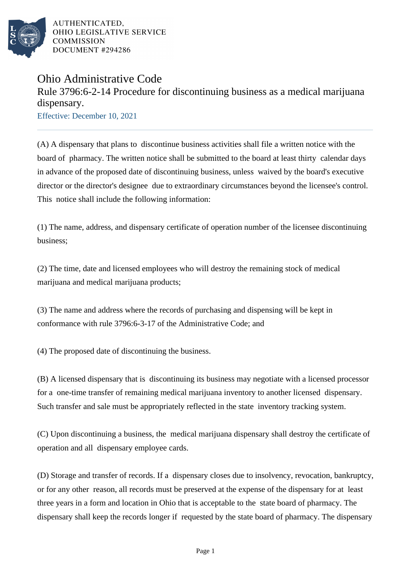

AUTHENTICATED, OHIO LEGISLATIVE SERVICE **COMMISSION** DOCUMENT #294286

## Ohio Administrative Code

## Rule 3796:6-2-14 Procedure for discontinuing business as a medical marijuana dispensary.

Effective: December 10, 2021

(A) A dispensary that plans to discontinue business activities shall file a written notice with the board of pharmacy. The written notice shall be submitted to the board at least thirty calendar days in advance of the proposed date of discontinuing business, unless waived by the board's executive director or the director's designee due to extraordinary circumstances beyond the licensee's control. This notice shall include the following information:

(1) The name, address, and dispensary certificate of operation number of the licensee discontinuing business;

(2) The time, date and licensed employees who will destroy the remaining stock of medical marijuana and medical marijuana products;

(3) The name and address where the records of purchasing and dispensing will be kept in conformance with rule 3796:6-3-17 of the Administrative Code; and

(4) The proposed date of discontinuing the business.

(B) A licensed dispensary that is discontinuing its business may negotiate with a licensed processor for a one-time transfer of remaining medical marijuana inventory to another licensed dispensary. Such transfer and sale must be appropriately reflected in the state inventory tracking system.

(C) Upon discontinuing a business, the medical marijuana dispensary shall destroy the certificate of operation and all dispensary employee cards.

(D) Storage and transfer of records. If a dispensary closes due to insolvency, revocation, bankruptcy, or for any other reason, all records must be preserved at the expense of the dispensary for at least three years in a form and location in Ohio that is acceptable to the state board of pharmacy. The dispensary shall keep the records longer if requested by the state board of pharmacy. The dispensary